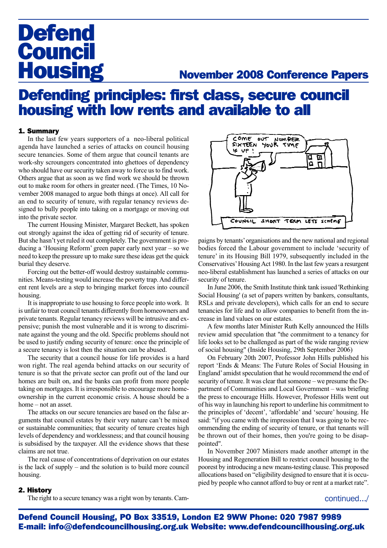# **Defend Council<br>Housing**

### **November 2008 Conference Papers**

## Defending principles: first class, secure council housing with low rents and available to all

#### 1. Summary

In the last few years supporters of a neo-liberal political agenda have launched a series of attacks on council housing secure tenancies. Some of them argue that council tenants are work-shy scroungers concentrated into ghettoes of dependency who should have our security taken away to force us to find work. Others argue that as soon as we find work we should be thrown out to make room for others in greater need. (The Times, 10 November 2008 managed to argue both things at once). All call for an end to security of tenure, with regular tenancy reviews designed to bully people into taking on a mortgage or moving out into the private sector.

The current Housing Minister, Margaret Beckett, has spoken out strongly against the idea of getting rid of security of tenure. But she hasn't yet ruled it out completely. The government is producing a 'Housing Reform' green paper early next year – so we need to keep the pressure up to make sure these ideas get the quick burial they deserve.

Forcing out the better-off would destroy sustainable communities. Means-testing would increase the poverty trap. And different rent levels are a step to bringing market forces into council housing.

It is inappropriate to use housing to force people into work. It is unfair to treat council tenants differently from homeowners and private tenants. Regular tenancy reviews will be intrusive and expensive; punish the most vulnerable and it is wrong to discriminate against the young and the old. Specific problems should not be used to justify ending security of tenure: once the principle of a secure tenancy is lost then the situation can be abused.

The security that a council house for life provides is a hard won right. The real agenda behind attacks on our security of tenure is so that the private sector can profit out of the land our homes are built on, and the banks can profit from more people taking on mortgages. It is irresponsible to encourage more homeownership in the current economic crisis. A house should be a home – not an asset.

The attacks on our secure tenancies are based on the false arguments that council estates by their very nature can't be mixed or sustainable communities; that security of tenure creates high levels of dependency and worklessness; and that council housing is subsidised by the taxpayer. All the evidence shows that these claims are not true.

The real cause of concentrations of deprivation on our estates is the lack of supply – and the solution is to build more council housing.



paigns by tenants' organisations and the new national and regional bodies forced the Labour government to include 'security of tenure' in its Housing Bill 1979, subsequently included in the Conservatives' Housing Act 1980. In the last few years a resurgent neo-liberal establishment has launched a series of attacks on our security of tenure.

In June 2006, the Smith Institute think tank issued 'Rethinking Social Housing' (a set of papers written by bankers, consultants, RSLs and private developers), which calls for an end to secure tenancies for life and to allow companies to benefit from the increase in land values on our estates.

A few months later Minister Ruth Kelly announced the Hills review amid speculation that "the commitment to a tenancy for life looks set to be challenged as part of the wide ranging review of social housing" (Inside Housing, 29th September 2006)

On February 20th 2007, Professor John Hills published his report 'Ends & Means: The Future Roles of Social Housing in England' amidst speculation that he would recommend the end of security of tenure. It was clear that someone – we presume the Department of Communities and Local Government – was briefing the press to encourage Hills. However, Professor Hills went out of his way in launching his report to underline his commitment to the principles of 'decent', 'affordable' and 'secure' housing. He said: "if you came with the impression that I was going to be recommending the ending of security of tenure, or that tenants will be thrown out of their homes, then you're going to be disappointed".

In November 2007 Ministers made another attempt in the Housing and Regeneration Bill to restrict council housing to the poorest by introducing a new means-testing clause. This proposed allocations based on "eligibility designed to ensure that it is occupied by people who cannot afford to buy or rent at a market rate".

#### 2. History

The right to a secure tenancy was a right won by tenants. Cam-

continued.../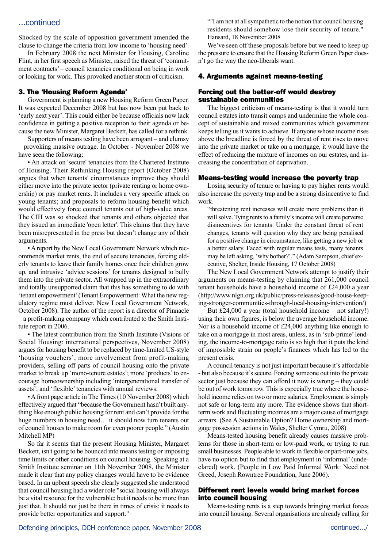#### ...continued

Shocked by the scale of opposition government amended the clause to change the criteria from low income to 'housing need'.

In February 2008 the next Minister for Housing, Caroline Flint, in her first speech as Minister, raised the threat of 'commitment contracts' – council tenancies conditional on being in work or looking for work. This provoked another storm of criticism.

#### 3. The 'Housing Reform Agenda'

Government is planning a new Housing Reform Green Paper. It was expected December 2008 but has now been put back to 'early next year'. This could either be because officials now lack confidence in getting a positive reception to their agenda or because the new Minister, Margaret Beckett, has called for a rethink.

Supporters of means testing have been arrogant – and clumsy – provoking massive outrage. In October - November 2008 we have seen the following:

• An attack on 'secure' tenancies from the Chartered Institute of Housing. Their Rethinking Housing report (October 2008) argues that when tenants' circumstances improve they should either move into the private sector (private renting or home ownership) or pay market rents. It includes a very specific attack on young tenants; and proposals to reform housing benefit which would effectively force council tenants out of high-value areas. The CIH was so shocked that tenants and others objected that they issued an immediate 'open letter'. This claims that they have been misrepresented in the press but doesn't change any of their arguments.

• A report by the New Local Government Network which recommends market rents, the end of secure tenancies, forcing elderly tenants to leave their family homes once their children grow up, and intrusive 'advice sessions' for tenants designed to bully them into the private sector. All wrapped up in the extraordinary and totally unsupported claim that this has something to do with 'tenant empowerment' (Tenant Empowerment: What the new regulatory regime must deliver, New Local Government Network, October 2008). The author of the report is a director of Pinnacle – a profit-making company which contributed to the Smith Institute report in 2006.

• The latest contribution from the Smith Institute (Visions of Social Housing: international perspectives, November 2008) argues for housing benefit to be replaced by time-limited US-style 'housing vouchers', more involvement from profit-making providers, selling off parts of council housing onto the private market to break up 'mono-tenure estates'; more 'products' to encourage homeownership including 'intergenerational transfer of assets'; and 'flexible' tenancies with annual reviews.

• A front page article in The Times (10 November 2008) which effectively argued that "because the Government hasn't built anything like enough public housing for rent and can't provide for the huge numbers in housing need... it should now turn tenants out of council houses to make room for even poorer people." (Austin Mitchell MP)

So far it seems that the present Housing Minister, Margaret Beckett, isn't going to be bounced into means testing or imposing time limits or other conditions on council housing. Speaking at a Smith Institute seminar on 11th November 2008, the Minister made it clear that any policy changes would have to be evidence based. In an upbeat speech she clearly suggested she understood that council housing had a wider role "social housing will always be a vital resource for the vulnerable; but it needs to be more than just that. It should not just be there in times of crisis: it needs to provide better opportunities and support."

""I am not at all sympathetic to the notion that council housing residents should somehow lose their security of tenure." Hansard, 18 November 2008

We've seen off these proposals before but we need to keep up the pressure to ensure that the Housing Reform Green Paper doesn't go the way the neo-liberals want.

#### 4. Arguments against means-testing

#### Forcing out the better-off would destroy sustainable communities

The biggest criticism of means-testing is that it would turn council estates into transit camps and undermine the whole concept of sustainable and mixed communities which government keeps telling us it wants to achieve. If anyone whose income rises above the breadline is forced by the threat of rent rises to move into the private market or take on a mortgage, it would have the effect of reducing the mixture of incomes on our estates, and increasing the concentration of deprivation.

#### Means-testing would increase the poverty trap

Losing security of tenure or having to pay higher rents would also increase the poverty trap and be a strong disincentive to find work.

"threatening rent increases will create more problems than it will solve. Tying rents to a family's income will create perverse disincentives for tenants. Under the constant threat of rent changes, tenants will question why they are being penalised for a positive change in circumstance, like getting a new job or a better salary. Faced with regular means tests, many tenants may be left asking, 'why bother?'." (Adam Sampson, chief executive, Shelter, Inside Housing, 17 October 2008)

The New Local Government Network attempt to justify their arguments on means-testing by claiming that 261,000 council tenant households have a household income of £24,000 a year (http://www.nlgn.org.uk/public/press-releases/good-house-keeping-stronger-communities-through-local-housing-intervention/)

But £24,000 a year (total household income – not salary!) using their own figures, is below the average household income. Nor is a household income of £24,000 anything like enough to take on a mortgage in most areas, unless, as in 'sub-prime' lending, the income-to-mortgage ratio is so high that it puts the kind of impossible strain on people's finances which has led to the present crisis.

A council tenancy is not just important because it's affordable - but also because it's secure. Forcing someone out into the private sector just because they can afford it now is wrong – they could be out of work tomorrow. This is especially true where the household income relies on two or more salaries. Employment is simply not safe or long-term any more. The evidence shows that shortterm work and fluctuating incomes are a major cause of mortgage arrears. (See A Sustainable Option? Home ownership and mortgage possession actions in Wales, Shelter Cymru, 2008)

Means-tested housing benefit already causes massive problems for those in short-term or low-paid work, or trying to run small businesses. People able to work in flexible or part-time jobs, have no option but to find that employment in 'informal' (undeclared) work. (People in Low Paid Informal Work: Need not Greed, Joseph Rowntree Foundation, June 2006).

#### Different rent levels would bring market forces into council housing

Means-testing rents is a step towards bringing market forces into council housing. Several organisations are already calling for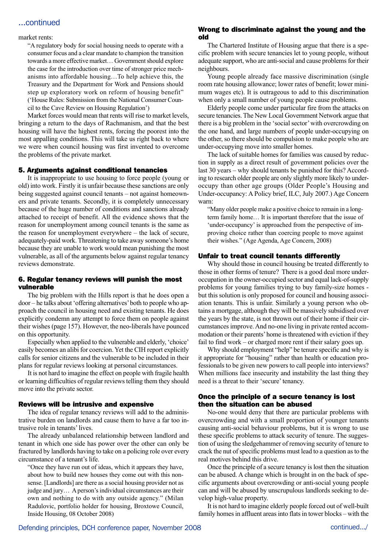#### ...continued

#### market rents:

"A regulatory body for social housing needs to operate with a consumer focus and a clear mandate to champion the transition towards a more effective market… Government should explore the case for the introduction over time of stronger price mechanisms into affordable housing…To help achieve this, the Treasury and the Department for Work and Pensions should step up exploratory work on reform of housing benefit" ('House Rules: Submission from the National Consumer Council to the Cave Review on Housing Regulation')

Market forces would mean that rents will rise to market levels, bringing a return to the days of Rachmanism, and that the best housing will have the highest rents, forcing the poorest into the most appalling conditions. This will take us right back to where we were when council housing was first invented to overcome the problems of the private market.

#### 5. Arguments against conditional tenancies

It is inappropriate to use housing to force people (young or old) into work. Firstly it is unfair because these sanctions are only being suggested against council tenants – not against homeowners and private tenants. Secondly, it is completely unnecessary because of the huge number of conditions and sanctions already attached to receipt of benefit. All the evidence shows that the reason for unemployment among council tenants is the same as the reason for unemployment everywhere – the lack of secure, adequately-paid work. Threatening to take away someone's home because they are unable to work would mean punishing the most vulnerable, as all of the arguments below against regular tenancy reviews demonstrate.

#### 6. Regular tenancy reviews will punish the most vulnerable

The big problem with the Hills report is that he does open a door – he talks about 'offering alternatives' both to people who approach the council in housing need and existing tenants. He does explicitly condemn any attempt to force them on people against their wishes (page 157). However, the neo-liberals have pounced on this opportunity.

Especially when applied to the vulnerable and elderly, 'choice' easily becomes an alibi for coercion. Yet the CIH report explicitly calls for senior citizens and the vulnerable to be included in their plans for regular reviews looking at personal circumstances.

It is not hard to imagine the effect on people with fragile health or learning difficulties of regular reviews telling them they should move into the private sector.

#### Reviews will be intrusive and expensive

The idea of regular tenancy reviews will add to the administrative burden on landlords and cause them to have a far too intrusive role in tenants' lives.

The already unbalanced relationship between landlord and tenant in which one side has power over the other can only be fractured by landlords having to take on a policing role over every circumstance of a tenant's life.

"Once they have run out of ideas, which it appears they have, about how to build new houses they come out with this nonsense. [Landlords] are there as a social housing provider not as judge and jury… A person's individual circumstances are their own and nothing to do with any outside agency." (Milan Radulovic, portfolio holder for housing, Broxtowe Council, Inside Housing, 08 October 2008)

#### Wrong to discriminate against the young and the old

The Chartered Institute of Housing argue that there is a specific problem with secure tenancies let to young people, without adequate support, who are anti-social and cause problems for their neighbours.

Young people already face massive discrimination (single room rate housing allowance; lower rates of benefit; lower minimum wages etc). It is outrageous to add to this discrimination when only a small number of young people cause problems.

Elderly people come under particular fire from the attacks on secure tenancies. The New Local Government Network argue that there is a big problem in the 'social sector' with overcrowding on the one hand, and large numbers of people under-occupying on the other, so there should be compulsion to make people who are under-occupying move into smaller homes.

The lack of suitable homes for families was caused by reduction in supply as a direct result of government policies over the last 30 years – why should tenants be punished for this? According to research older people are only slightly more likely to underoccupy than other age groups (Older People's Housing and Under-occupancy: A Policy brief, ILC, July 2007.) Age Concern warn:

"Many older people make a positive choice to remain in a longterm family home… It is important therefore that the issue of 'under-occupancy' is approached from the perspective of improving choice rather than coercing people to move against their wishes." (Age Agenda, Age Concern, 2008)

#### Unfair to treat council tenants differently

Why should those in council housing be treated differently to those in other forms of tenure? There is a good deal more underoccupation in the owner-occupied sector and equal lack-of-supply problems for young families trying to buy family-size homes but this solution is only proposed for council and housing association tenants. This is unfair. Similarly a young person who obtains a mortgage, although they will be massively subsidised over the years by the state, is not thrown out of their home if their circumstances improve. And no-one living in private rented accommodation or their parents' home is threatened with eviction if they fail to find work – or charged more rent if their salary goes up.

Why should employment "help" be tenure specific and why is it appropriate for "housing" rather than health or education professionals to be given new powers to call people into interviews? When millions face insecurity and instability the last thing they need is a threat to their 'secure' tenancy.

#### Once the principle of a secure tenancy is lost then the situation can be abused

No-one would deny that there are particular problems with overcrowding and with a small proportion of younger tenants causing anti-social behaviour problems, but it is wrong to use these specific problems to attack security of tenure. The suggestion of using the sledgehammer of removing security of tenure to crack the nut of specific problems must lead to a question as to the real motives behind this drive.

Once the principle of a secure tenancy is lost then the situation can be abused. A change which is brought in on the back of specific arguments about overcrowding or anti-social young people can and will be abused by unscrupulous landlords seeking to develop high-value property.

It is not hard to imagine elderly people forced out of well-built family homes in affluent areas into flats in tower blocks – with the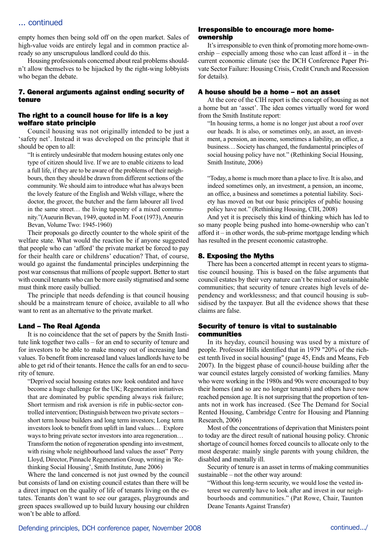#### ... continued

empty homes then being sold off on the open market. Sales of high-value voids are entirely legal and in common practice already so any unscrupulous landlord could do this.

Housing professionals concerned about real problems shouldn't allow themselves to be hijacked by the right-wing lobbyists who began the debate.

#### 7. General arguments against ending security of tenure

#### The right to a council house for life is a key welfare state principle

Council housing was not originally intended to be just a 'safety net'. Instead it was developed on the principle that it should be open to all:

"It is entirely undesirable that modern housing estates only one type of citizen should live. If we are to enable citizens to lead a full life, if they are to be aware of the problems of their neighbours, then they should be drawn from different sections of the community. We should aim to introduce what has always been the lovely feature of the English and Welsh village, where the doctor, the grocer, the butcher and the farm labourer all lived in the same street… the living tapestry of a mixed community."(Aueurin Bevan, 1949, quoted in M. Foot (1973), Aneurin Bevan, Volume Two: 1945-1960)

Their proposals go directly counter to the whole spirit of the welfare state. What would the reaction be if anyone suggested that people who can 'afford' the private market be forced to pay for their health care or childrens' education? That, of course, would go against the fundamental principles underpinning the post war consensus that millions of people support. Better to start with council tenants who can be more easily stigmatised and some must think more easily bullied.

The principle that needs defending is that council housing should be a mainstream tenure of choice, available to all who want to rent as an alternative to the private market.

#### Land – The Real Agenda

It is no coincidence that the set of papers by the Smith Institute link together two calls – for an end to security of tenure and for investors to be able to make money out of increasing land values. To benefit from increased land values landlords have to be able to get rid of their tenants. Hence the calls for an end to security of tenure.

"Deprived social housing estates now look outdated and have become a huge challenge for the UK; Regeneration initiatives that are dominated by public spending always risk failure; Short termism and risk aversion is rife in public-sector controlled intervention; Distinguish between two private sectors – short term house builders and long term investors; Long term investors look to benefit from uplift in land values… Explore ways to bring private sector investors into area regeneration… Transform the notion of regeneration spending into investment, with rising whole neighbourhood land values the asset" Perry Lloyd, Director, Pinnacle Regeneration Group, writing in 'Rethinking Social Housing', Smith Institute, June 2006)

Where the land concerned is not just owned by the council but consists of land on existing council estates than there will be a direct impact on the quality of life of tenants living on the estates. Tenants don't want to see our garages, playgrounds and green spaces swallowed up to build luxury housing our children won't be able to afford.

#### Irresponsible to encourage more homeownership

It's irresponsible to even think of promoting more home-ownership – especially among those who can least afford it – in the current economic climate (see the DCH Conference Paper Private Sector Failure: Housing Crisis, Credit Crunch and Recession for details).

#### A house should be a home – not an asset

At the core of the CIH report is the concept of housing as not a home but an 'asset'. The idea comes virtually word for word from the Smith Institute report:

"In housing terms, a home is no longer just about a roof over our heads. It is also, or sometimes only, an asset, an investment, a pension, an income, sometimes a liability, an office, a business… Society has changed, the fundamental principles of social housing policy have not." (Rethinking Social Housing, Smith Institute, 2006)

"Today, a home is much more than a place to live. It is also, and indeed sometimes only, an investment, a pension, an income, an office, a business and sometimes a potential liability. Society has moved on but our basic principles of public housing policy have not." (Rethinking Housing, CIH, 2008)

And yet it is precisely this kind of thinking which has led to so many people being pushed into home-ownership who can't afford it – in other words, the sub-prime mortgage lending which has resulted in the present economic catastrophe.

#### 8. Exposing the Myths

There has been a concerted attempt in recent years to stigmatise council housing. This is based on the false arguments that council estates by their very nature can't be mixed or sustainable communities; that security of tenure creates high levels of dependency and worklessness; and that council housing is subsidised by the taxpayer. But all the evidence shows that these claims are false.

#### Security of tenure is vital to sustainable communities

In its heyday, council housing was used by a mixture of people. Professor Hills identified that in 1979 "20% of the richest tenth lived in social housing" (page 45, Ends and Means, Feb 2007). In the biggest phase of council-house building after the war council estates largely consisted of working families. Many who were working in the 1980s and 90s were encouraged to buy their homes (and so are no longer tenants) and others have now reached pension age. It is not surprising that the proportion of tenants not in work has increased. (See The Demand for Social Rented Housing, Cambridge Centre for Housing and Planning Research, 2006)

Most of the concentrations of deprivation that Ministers point to today are the direct result of national housing policy. Chronic shortage of council homes forced councils to allocate only to the most desperate: mainly single parents with young children, the disabled and mentally ill.

Security of tenure is an asset in terms of making communities sustainable – not the other way around:

"Without this long-term security, we would lose the vested interest we currently have to look after and invest in our neighbourhoods and communities." (Pat Rowe, Chair, Taunton Deane Tenants Against Transfer)